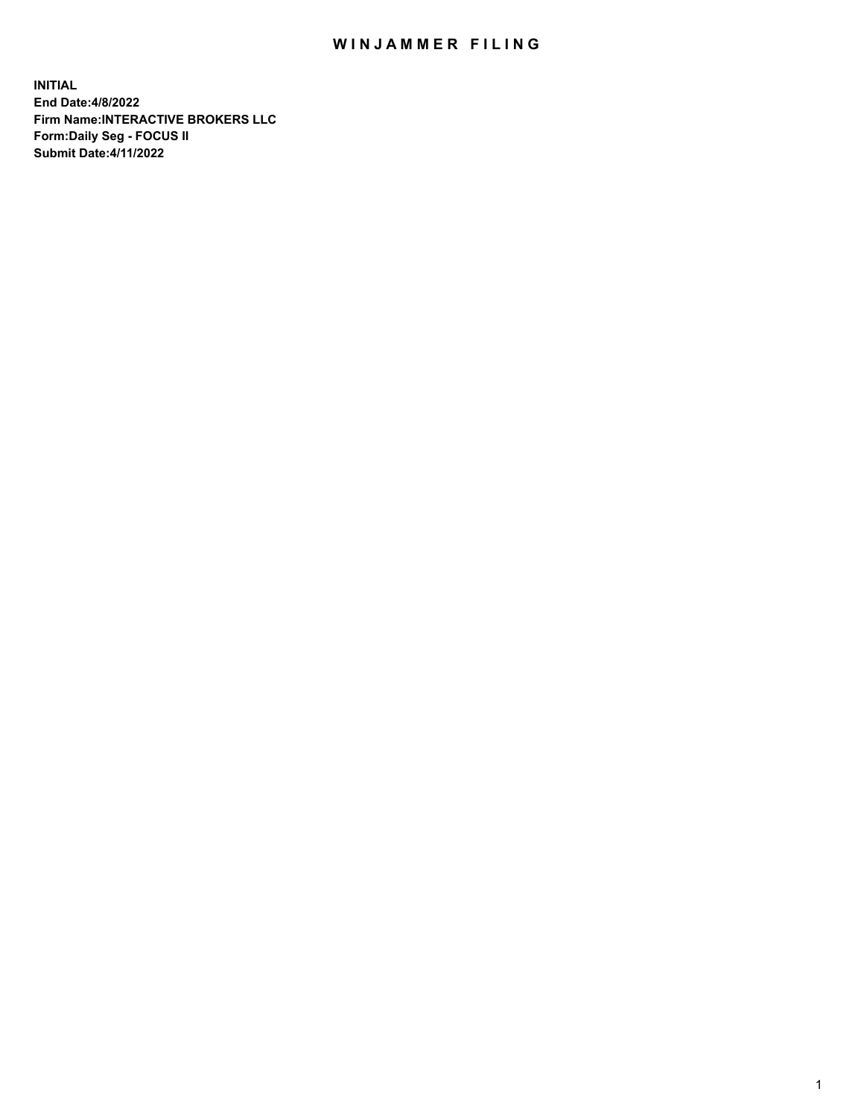## WIN JAMMER FILING

**INITIAL End Date:4/8/2022 Firm Name:INTERACTIVE BROKERS LLC Form:Daily Seg - FOCUS II Submit Date:4/11/2022**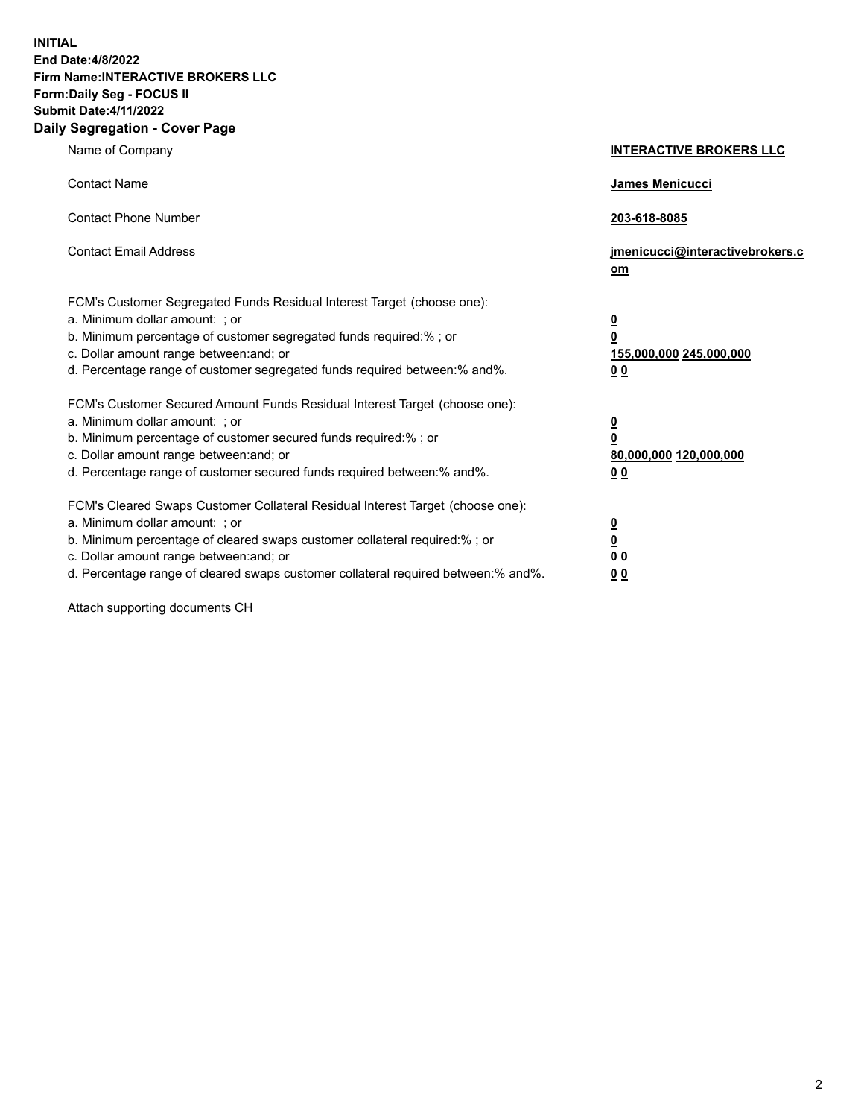**INITIAL End Date:4/8/2022 Firm Name:INTERACTIVE BROKERS LLC Form:Daily Seg - FOCUS II Submit Date:4/11/2022 Daily Segregation - Cover Page**

| Name of Company                                                                                                                                                                                                                                                                                                                | <b>INTERACTIVE BROKERS LLC</b>                                                                 |
|--------------------------------------------------------------------------------------------------------------------------------------------------------------------------------------------------------------------------------------------------------------------------------------------------------------------------------|------------------------------------------------------------------------------------------------|
| <b>Contact Name</b>                                                                                                                                                                                                                                                                                                            | <b>James Menicucci</b>                                                                         |
| <b>Contact Phone Number</b>                                                                                                                                                                                                                                                                                                    | 203-618-8085                                                                                   |
| <b>Contact Email Address</b>                                                                                                                                                                                                                                                                                                   | jmenicucci@interactivebrokers.c<br>om                                                          |
| FCM's Customer Segregated Funds Residual Interest Target (choose one):<br>a. Minimum dollar amount: ; or<br>b. Minimum percentage of customer segregated funds required:% ; or<br>c. Dollar amount range between: and; or<br>d. Percentage range of customer segregated funds required between:% and%.                         | $\overline{\mathbf{0}}$<br>$\overline{\mathbf{0}}$<br>155,000,000 245,000,000<br>00            |
| FCM's Customer Secured Amount Funds Residual Interest Target (choose one):<br>a. Minimum dollar amount: ; or<br>b. Minimum percentage of customer secured funds required:%; or<br>c. Dollar amount range between: and; or<br>d. Percentage range of customer secured funds required between:% and%.                            | $\overline{\mathbf{0}}$<br>$\overline{\mathbf{0}}$<br>80,000,000 120,000,000<br>0 <sub>0</sub> |
| FCM's Cleared Swaps Customer Collateral Residual Interest Target (choose one):<br>a. Minimum dollar amount: ; or<br>b. Minimum percentage of cleared swaps customer collateral required:% ; or<br>c. Dollar amount range between: and; or<br>d. Percentage range of cleared swaps customer collateral required between:% and%. | $\overline{\mathbf{0}}$<br><u>0</u><br>0 <sub>0</sub><br>00                                    |

Attach supporting documents CH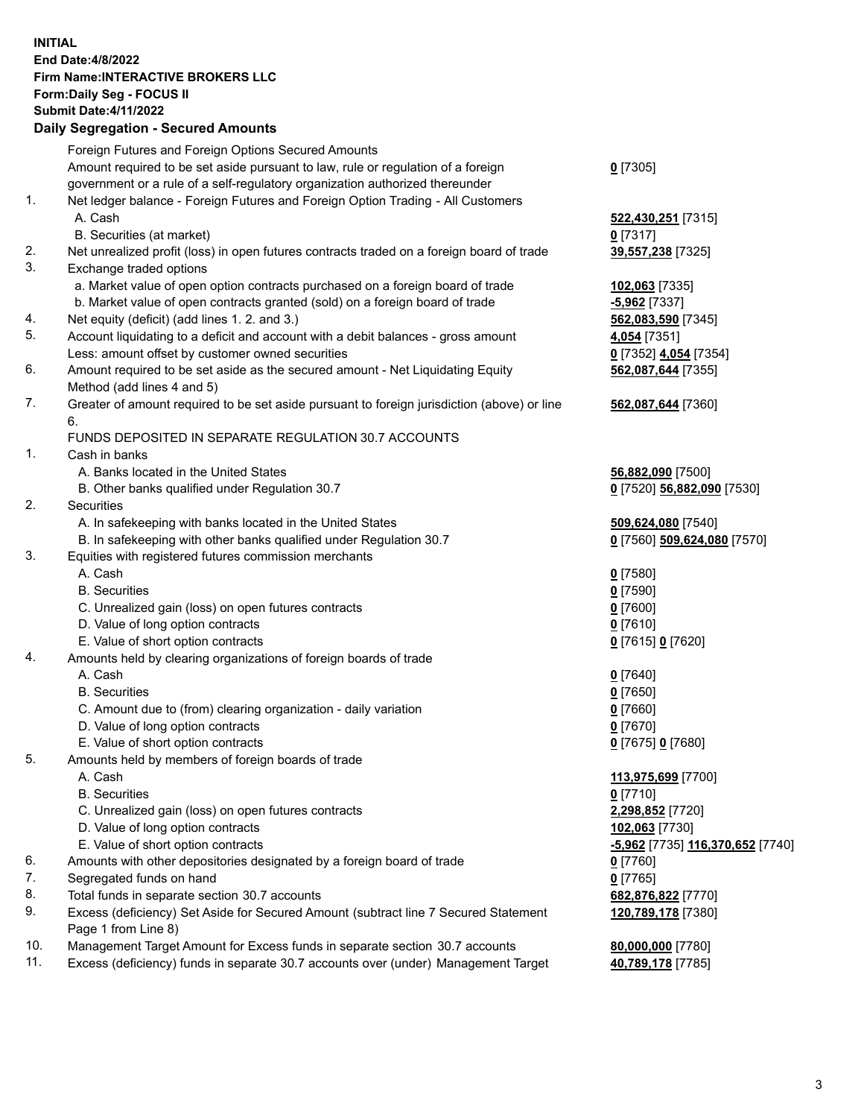## **INITIAL End Date:4/8/2022 Firm Name:INTERACTIVE BROKERS LLC Form:Daily Seg - FOCUS II Submit Date:4/11/2022 Daily Segregation - Secured Amounts**

|     | Dany Segregation - Secured Amounts                                                          |                                  |
|-----|---------------------------------------------------------------------------------------------|----------------------------------|
|     | Foreign Futures and Foreign Options Secured Amounts                                         |                                  |
|     | Amount required to be set aside pursuant to law, rule or regulation of a foreign            | $0$ [7305]                       |
|     | government or a rule of a self-regulatory organization authorized thereunder                |                                  |
| 1.  | Net ledger balance - Foreign Futures and Foreign Option Trading - All Customers             |                                  |
|     | A. Cash                                                                                     | 522,430,251 [7315]               |
|     | B. Securities (at market)                                                                   | $0$ [7317]                       |
| 2.  | Net unrealized profit (loss) in open futures contracts traded on a foreign board of trade   | 39,557,238 [7325]                |
| 3.  | Exchange traded options                                                                     |                                  |
|     | a. Market value of open option contracts purchased on a foreign board of trade              | 102,063 [7335]                   |
|     | b. Market value of open contracts granted (sold) on a foreign board of trade                | $-5,962$ [7337]                  |
| 4.  | Net equity (deficit) (add lines 1. 2. and 3.)                                               | 562,083,590 [7345]               |
| 5.  | Account liquidating to a deficit and account with a debit balances - gross amount           | 4,054 [7351]                     |
|     | Less: amount offset by customer owned securities                                            | 0 [7352] 4,054 [7354]            |
| 6.  | Amount required to be set aside as the secured amount - Net Liquidating Equity              | 562,087,644 [7355]               |
|     | Method (add lines 4 and 5)                                                                  |                                  |
| 7.  | Greater of amount required to be set aside pursuant to foreign jurisdiction (above) or line | 562,087,644 [7360]               |
|     | 6.                                                                                          |                                  |
|     | FUNDS DEPOSITED IN SEPARATE REGULATION 30.7 ACCOUNTS                                        |                                  |
| 1.  | Cash in banks                                                                               |                                  |
|     | A. Banks located in the United States                                                       | 56,882,090 [7500]                |
|     | B. Other banks qualified under Regulation 30.7                                              | 0 [7520] 56,882,090 [7530]       |
| 2.  | <b>Securities</b>                                                                           |                                  |
|     | A. In safekeeping with banks located in the United States                                   | 509,624,080 [7540]               |
|     | B. In safekeeping with other banks qualified under Regulation 30.7                          | 0 [7560] 509,624,080 [7570]      |
| 3.  | Equities with registered futures commission merchants                                       |                                  |
|     | A. Cash                                                                                     | $0$ [7580]                       |
|     | <b>B.</b> Securities                                                                        | $0$ [7590]                       |
|     | C. Unrealized gain (loss) on open futures contracts                                         | $0$ [7600]                       |
|     | D. Value of long option contracts                                                           | $0$ [7610]                       |
| 4.  | E. Value of short option contracts                                                          | 0 [7615] 0 [7620]                |
|     | Amounts held by clearing organizations of foreign boards of trade<br>A. Cash                | $0$ [7640]                       |
|     | <b>B.</b> Securities                                                                        | $0$ [7650]                       |
|     | C. Amount due to (from) clearing organization - daily variation                             | $0$ [7660]                       |
|     | D. Value of long option contracts                                                           | $0$ [7670]                       |
|     | E. Value of short option contracts                                                          | 0 [7675] 0 [7680]                |
| 5.  | Amounts held by members of foreign boards of trade                                          |                                  |
|     | A. Cash                                                                                     | 113,975,699 [7700]               |
|     | <b>B.</b> Securities                                                                        | $0$ [7710]                       |
|     | C. Unrealized gain (loss) on open futures contracts                                         | 2,298,852 [7720]                 |
|     | D. Value of long option contracts                                                           | 102,063 [7730]                   |
|     | E. Value of short option contracts                                                          | -5,962 [7735] 116,370,652 [7740] |
| 6.  | Amounts with other depositories designated by a foreign board of trade                      | 0 [7760]                         |
| 7.  | Segregated funds on hand                                                                    | $0$ [7765]                       |
| 8.  | Total funds in separate section 30.7 accounts                                               | 682,876,822 [7770]               |
| 9.  | Excess (deficiency) Set Aside for Secured Amount (subtract line 7 Secured Statement         | 120,789,178 [7380]               |
|     | Page 1 from Line 8)                                                                         |                                  |
| 10. | Management Target Amount for Excess funds in separate section 30.7 accounts                 | 80,000,000 [7780]                |
| 11. | Excess (deficiency) funds in separate 30.7 accounts over (under) Management Target          | 40,789,178 [7785]                |
|     |                                                                                             |                                  |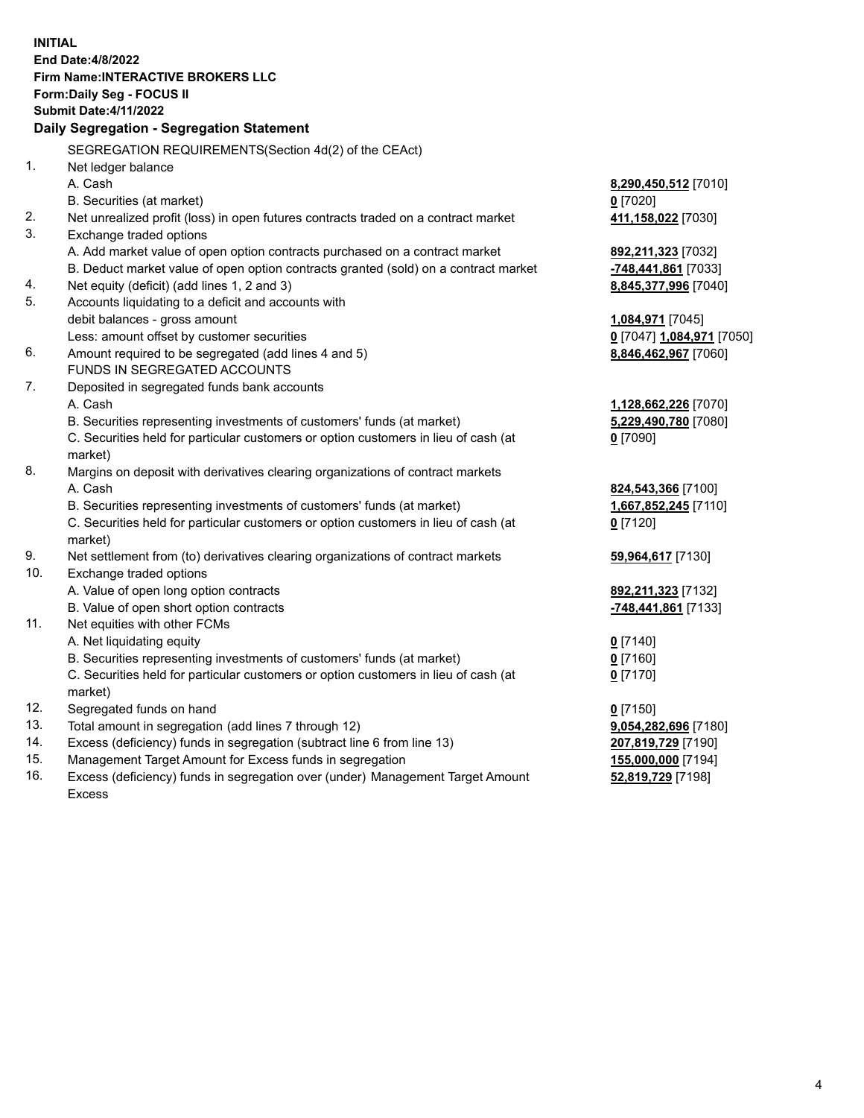**INITIAL End Date:4/8/2022 Firm Name:INTERACTIVE BROKERS LLC Form:Daily Seg - FOCUS II Submit Date:4/11/2022 Daily Segregation - Segregation Statement** SEGREGATION REQUIREMENTS(Section 4d(2) of the CEAct) 1. Net ledger balance A. Cash **8,290,450,512** [7010] B. Securities (at market) **0** [7020] 2. Net unrealized profit (loss) in open futures contracts traded on a contract market **411,158,022** [7030] 3. Exchange traded options A. Add market value of open option contracts purchased on a contract market **892,211,323** [7032] B. Deduct market value of open option contracts granted (sold) on a contract market **-748,441,861** [7033] 4. Net equity (deficit) (add lines 1, 2 and 3) **8,845,377,996** [7040] 5. Accounts liquidating to a deficit and accounts with debit balances - gross amount **1,084,971** [7045] Less: amount offset by customer securities **0** [7047] **1,084,971** [7050] 6. Amount required to be segregated (add lines 4 and 5) **8,846,462,967** [7060] FUNDS IN SEGREGATED ACCOUNTS 7. Deposited in segregated funds bank accounts A. Cash **1,128,662,226** [7070] B. Securities representing investments of customers' funds (at market) **5,229,490,780** [7080] C. Securities held for particular customers or option customers in lieu of cash (at market) **0** [7090] 8. Margins on deposit with derivatives clearing organizations of contract markets A. Cash **824,543,366** [7100] B. Securities representing investments of customers' funds (at market) **1,667,852,245** [7110] C. Securities held for particular customers or option customers in lieu of cash (at market) **0** [7120] 9. Net settlement from (to) derivatives clearing organizations of contract markets **59,964,617** [7130] 10. Exchange traded options A. Value of open long option contracts **892,211,323** [7132] B. Value of open short option contracts **-748,441,861** [7133] 11. Net equities with other FCMs A. Net liquidating equity **0** [7140] B. Securities representing investments of customers' funds (at market) **0** [7160] C. Securities held for particular customers or option customers in lieu of cash (at market) **0** [7170] 12. Segregated funds on hand **0** [7150] 13. Total amount in segregation (add lines 7 through 12) **9,054,282,696** [7180] 14. Excess (deficiency) funds in segregation (subtract line 6 from line 13) **207,819,729** [7190] 15. Management Target Amount for Excess funds in segregation **155,000,000** [7194] 16. Excess (deficiency) funds in segregation over (under) Management Target Amount **52,819,729** [7198]

Excess